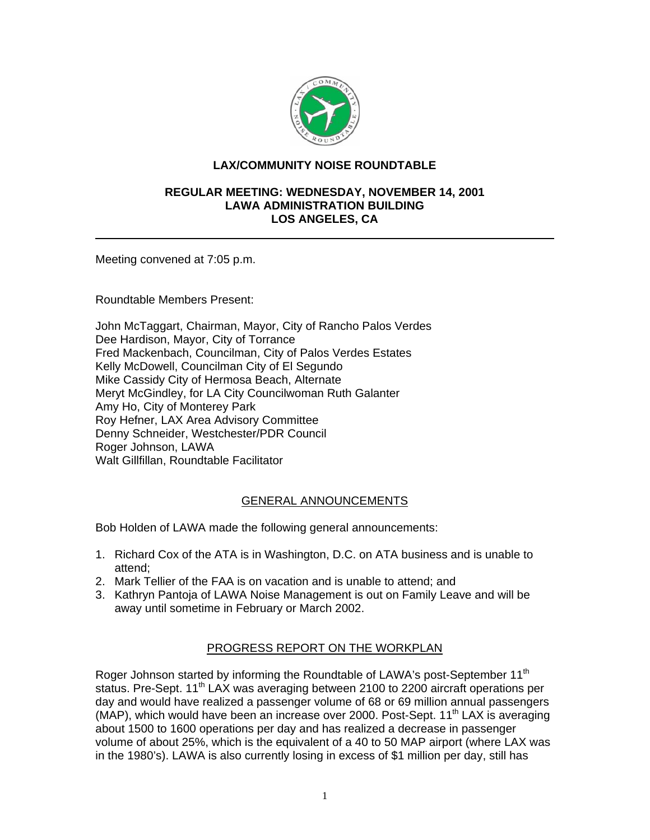

## **LAX/COMMUNITY NOISE ROUNDTABLE**

#### **REGULAR MEETING: WEDNESDAY, NOVEMBER 14, 2001 LAWA ADMINISTRATION BUILDING LOS ANGELES, CA**

Meeting convened at 7:05 p.m.

Roundtable Members Present:

John McTaggart, Chairman, Mayor, City of Rancho Palos Verdes Dee Hardison, Mayor, City of Torrance Fred Mackenbach, Councilman, City of Palos Verdes Estates Kelly McDowell, Councilman City of El Segundo Mike Cassidy City of Hermosa Beach, Alternate Meryt McGindley, for LA City Councilwoman Ruth Galanter Amy Ho, City of Monterey Park Roy Hefner, LAX Area Advisory Committee Denny Schneider, Westchester/PDR Council Roger Johnson, LAWA Walt Gillfillan, Roundtable Facilitator

# GENERAL ANNOUNCEMENTS

Bob Holden of LAWA made the following general announcements:

- 1. Richard Cox of the ATA is in Washington, D.C. on ATA business and is unable to attend;
- 2. Mark Tellier of the FAA is on vacation and is unable to attend; and
- 3. Kathryn Pantoja of LAWA Noise Management is out on Family Leave and will be away until sometime in February or March 2002.

## PROGRESS REPORT ON THE WORKPLAN

Roger Johnson started by informing the Roundtable of LAWA's post-September 11<sup>th</sup> status. Pre-Sept. 11<sup>th</sup> LAX was averaging between 2100 to 2200 aircraft operations per day and would have realized a passenger volume of 68 or 69 million annual passengers (MAP), which would have been an increase over 2000. Post-Sept.  $11<sup>th</sup> LAX$  is averaging about 1500 to 1600 operations per day and has realized a decrease in passenger volume of about 25%, which is the equivalent of a 40 to 50 MAP airport (where LAX was in the 1980's). LAWA is also currently losing in excess of \$1 million per day, still has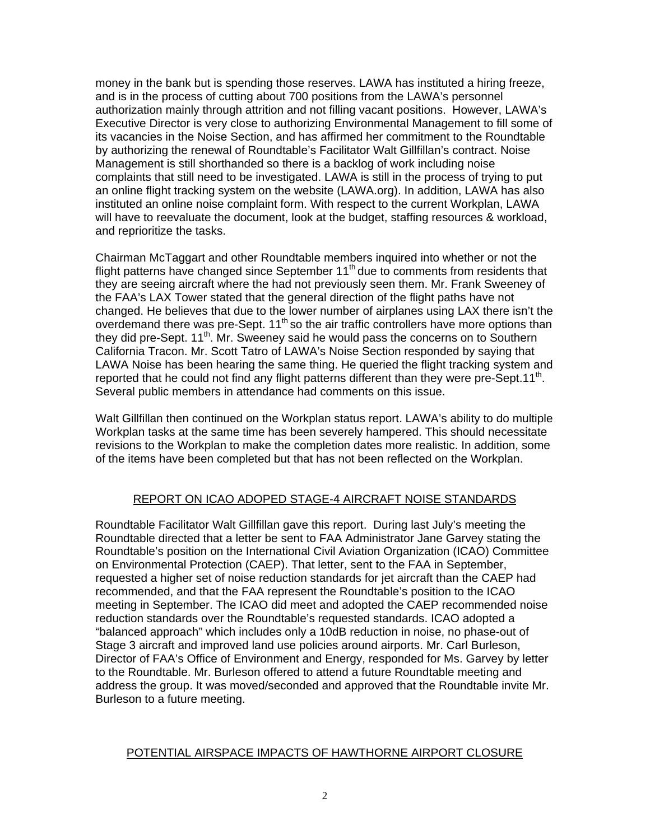money in the bank but is spending those reserves. LAWA has instituted a hiring freeze, and is in the process of cutting about 700 positions from the LAWA's personnel authorization mainly through attrition and not filling vacant positions. However, LAWA's Executive Director is very close to authorizing Environmental Management to fill some of its vacancies in the Noise Section, and has affirmed her commitment to the Roundtable by authorizing the renewal of Roundtable's Facilitator Walt Gillfillan's contract. Noise Management is still shorthanded so there is a backlog of work including noise complaints that still need to be investigated. LAWA is still in the process of trying to put an online flight tracking system on the website (LAWA.org). In addition, LAWA has also instituted an online noise complaint form. With respect to the current Workplan, LAWA will have to reevaluate the document, look at the budget, staffing resources & workload, and reprioritize the tasks.

Chairman McTaggart and other Roundtable members inquired into whether or not the flight patterns have changed since September  $11<sup>th</sup>$  due to comments from residents that they are seeing aircraft where the had not previously seen them. Mr. Frank Sweeney of the FAA's LAX Tower stated that the general direction of the flight paths have not changed. He believes that due to the lower number of airplanes using LAX there isn't the overdemand there was pre-Sept.  $11<sup>th</sup>$  so the air traffic controllers have more options than they did pre-Sept.  $11<sup>th</sup>$ . Mr. Sweeney said he would pass the concerns on to Southern California Tracon. Mr. Scott Tatro of LAWA's Noise Section responded by saying that LAWA Noise has been hearing the same thing. He queried the flight tracking system and reported that he could not find any flight patterns different than they were pre-Sept.11<sup>th</sup>. Several public members in attendance had comments on this issue.

Walt Gillfillan then continued on the Workplan status report. LAWA's ability to do multiple Workplan tasks at the same time has been severely hampered. This should necessitate revisions to the Workplan to make the completion dates more realistic. In addition, some of the items have been completed but that has not been reflected on the Workplan.

# REPORT ON ICAO ADOPED STAGE-4 AIRCRAFT NOISE STANDARDS

Roundtable Facilitator Walt Gillfillan gave this report. During last July's meeting the Roundtable directed that a letter be sent to FAA Administrator Jane Garvey stating the Roundtable's position on the International Civil Aviation Organization (ICAO) Committee on Environmental Protection (CAEP). That letter, sent to the FAA in September, requested a higher set of noise reduction standards for jet aircraft than the CAEP had recommended, and that the FAA represent the Roundtable's position to the ICAO meeting in September. The ICAO did meet and adopted the CAEP recommended noise reduction standards over the Roundtable's requested standards. ICAO adopted a "balanced approach" which includes only a 10dB reduction in noise, no phase-out of Stage 3 aircraft and improved land use policies around airports. Mr. Carl Burleson, Director of FAA's Office of Environment and Energy, responded for Ms. Garvey by letter to the Roundtable. Mr. Burleson offered to attend a future Roundtable meeting and address the group. It was moved/seconded and approved that the Roundtable invite Mr. Burleson to a future meeting.

## POTENTIAL AIRSPACE IMPACTS OF HAWTHORNE AIRPORT CLOSURE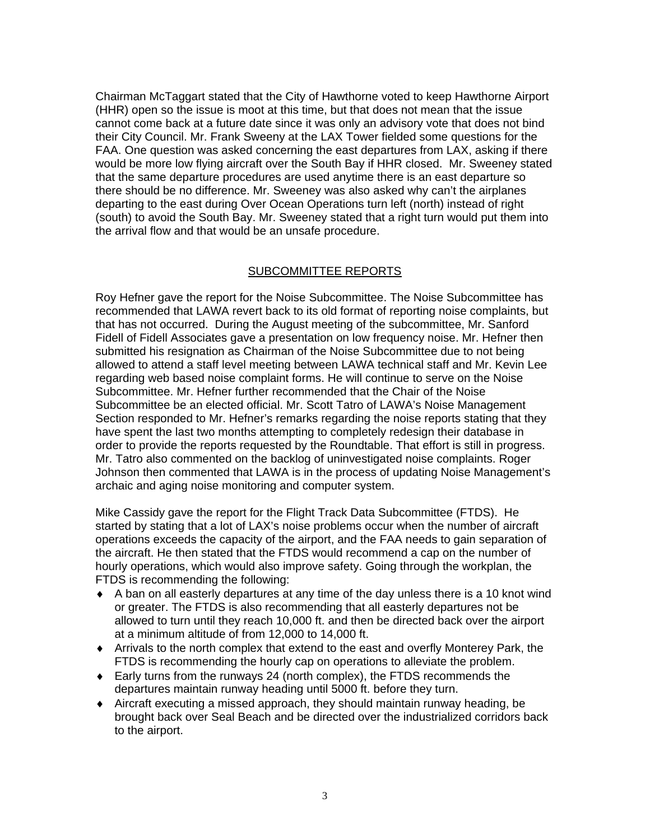Chairman McTaggart stated that the City of Hawthorne voted to keep Hawthorne Airport (HHR) open so the issue is moot at this time, but that does not mean that the issue cannot come back at a future date since it was only an advisory vote that does not bind their City Council. Mr. Frank Sweeny at the LAX Tower fielded some questions for the FAA. One question was asked concerning the east departures from LAX, asking if there would be more low flying aircraft over the South Bay if HHR closed. Mr. Sweeney stated that the same departure procedures are used anytime there is an east departure so there should be no difference. Mr. Sweeney was also asked why can't the airplanes departing to the east during Over Ocean Operations turn left (north) instead of right (south) to avoid the South Bay. Mr. Sweeney stated that a right turn would put them into the arrival flow and that would be an unsafe procedure.

#### SUBCOMMITTEE REPORTS

Roy Hefner gave the report for the Noise Subcommittee. The Noise Subcommittee has recommended that LAWA revert back to its old format of reporting noise complaints, but that has not occurred. During the August meeting of the subcommittee, Mr. Sanford Fidell of Fidell Associates gave a presentation on low frequency noise. Mr. Hefner then submitted his resignation as Chairman of the Noise Subcommittee due to not being allowed to attend a staff level meeting between LAWA technical staff and Mr. Kevin Lee regarding web based noise complaint forms. He will continue to serve on the Noise Subcommittee. Mr. Hefner further recommended that the Chair of the Noise Subcommittee be an elected official. Mr. Scott Tatro of LAWA's Noise Management Section responded to Mr. Hefner's remarks regarding the noise reports stating that they have spent the last two months attempting to completely redesign their database in order to provide the reports requested by the Roundtable. That effort is still in progress. Mr. Tatro also commented on the backlog of uninvestigated noise complaints. Roger Johnson then commented that LAWA is in the process of updating Noise Management's archaic and aging noise monitoring and computer system.

Mike Cassidy gave the report for the Flight Track Data Subcommittee (FTDS). He started by stating that a lot of LAX's noise problems occur when the number of aircraft operations exceeds the capacity of the airport, and the FAA needs to gain separation of the aircraft. He then stated that the FTDS would recommend a cap on the number of hourly operations, which would also improve safety. Going through the workplan, the FTDS is recommending the following:

- ♦ A ban on all easterly departures at any time of the day unless there is a 10 knot wind or greater. The FTDS is also recommending that all easterly departures not be allowed to turn until they reach 10,000 ft. and then be directed back over the airport at a minimum altitude of from 12,000 to 14,000 ft.
- ♦ Arrivals to the north complex that extend to the east and overfly Monterey Park, the FTDS is recommending the hourly cap on operations to alleviate the problem.
- $\bullet$  Early turns from the runways 24 (north complex), the FTDS recommends the departures maintain runway heading until 5000 ft. before they turn.
- ♦ Aircraft executing a missed approach, they should maintain runway heading, be brought back over Seal Beach and be directed over the industrialized corridors back to the airport.